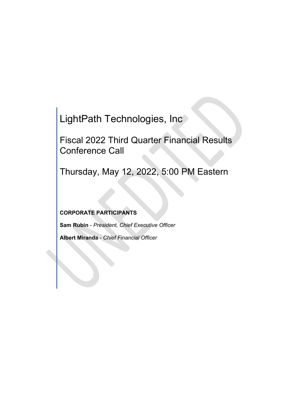LightPath Technologies, Inc

Fiscal 2022 Third Quarter Financial Results Conference Call

Thursday, May 12, 2022, 5:00 PM Eastern

**CORPORATE PARTICIPANTS**

**Sam Rubin** - *President, Chief Executive Officer*

**Albert Miranda** - *Chief Financial Officer*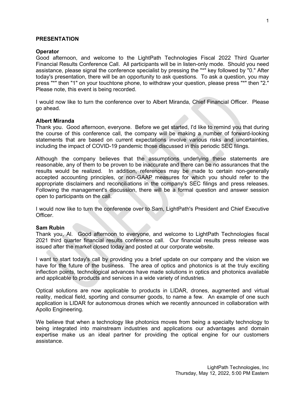## **PRESENTATION**

## **Operator**

Good afternoon, and welcome to the LightPath Technologies Fiscal 2022 Third Quarter Financial Results Conference Call. All participants will be in listen-only mode. Should you need assistance, please signal the conference specialist by pressing the "\*" key followed by "0." After today's presentation, there will be an opportunity to ask questions. To ask a question, you may press "\*" then "1" on your touchtone phone, to withdraw your question, please press "\*" then "2." Please note, this event is being recorded.

I would now like to turn the conference over to Albert Miranda, Chief Financial Officer. Please go ahead.

## **Albert Miranda**

Thank you. Good afternoon, everyone. Before we get started, I'd like to remind you that during the course of this conference call, the company will be making a number of forward-looking statements that are based on current expectations involve various risks and uncertainties, including the impact of COVID-19 pandemic those discussed in this periodic SEC filings.

Although the company believes that the assumptions underlying these statements are reasonable, any of them to be proven to be inaccurate and there can be no assurances that the results would be realized. In addition, references may be made to certain non-generally accepted accounting principles, or non-GAAP measures for which you should refer to the appropriate disclaimers and reconciliations in the company's SEC filings and press releases. Following the management's discussion, there will be a formal question and answer session open to participants on the call.

I would now like to turn the conference over to Sam, LightPath's President and Chief Executive Officer.

#### **Sam Rubin**

Thank you, Al. Good afternoon to everyone, and welcome to LightPath Technologies fiscal 2021 third quarter financial results conference call. Our financial results press release was issued after the market closed today and posted at our corporate website.

I want to start today's call by providing you a brief update on our company and the vision we have for the future of the business. The area of optics and photonics is at the truly exciting inflection points, technological advances have made solutions in optics and photonics available and applicable to products and services in a wide variety of industries.

Optical solutions are now applicable to products in LIDAR, drones, augmented and virtual reality, medical field, sporting and consumer goods, to name a few. An example of one such application is LIDAR for autonomous drones which we recently announced in collaboration with Apollo Engineering.

We believe that when a technology like photonics moves from being a specialty technology to being integrated into mainstream industries and applications our advantages and domain expertise make us an ideal partner for providing the optical engine for our customers assistance.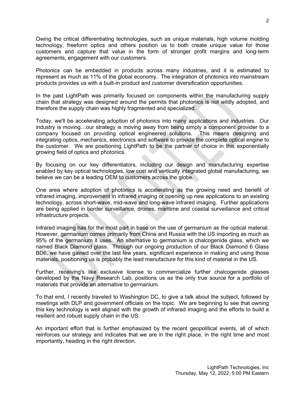Owing the critical differentiating technologies, such as unique materials, high volume molding technology, freeform optics and others position us to both create unique value for those customers and capture that value in the form of stronger profit margins and long-term agreements, engagement with our customers.

Photonics can be embedded in products across many industries, and it is estimated to represent as much as 11% of the global economy. The integration of photonics into mainstream products provides us with a built-in product and customer diversification opportunities.

In the past LightPath was primarily focused on components within the manufacturing supply chain that strategy was designed around the permits that photonics is not wildly adopted, and therefore the supply chain was highly fragmented and specialized.

Today, we'll be accelerating adoption of photonics into many applications and industries. Our industry is moving…our strategy is moving away from being simply a component provider to a company focused on providing optical engineered solutions. This means designing and integrating optics, mechanics, electronics and software to provide the complete optical engine to the customer. We are positioning LightPath to be the partner of choice in this exponentially growing field of optics and photonics.

By focusing on our key differentiators, including our design and manufacturing expertise enabled by key optical technologies, low cost and vertically integrated global manufacturing, we believe we can be a leading OEM to customers across the globe.

One area where adoption of photonics is accelerating as the growing need and benefit of infrared imaging, improvement in infrared imaging or opening up new applications to an existing technology, across short-wave, mid-wave and long-wave infrared imaging. Further applications are being applied in border surveillance, drones, maritime and coastal surveillance and critical infrastructure projects.

Infrared imaging has for the most part in base on the use of germanium as the optical material. However, germanium comes primarily from China and Russia with the US importing as much as 95% of the germanium it uses. An alternative to germanium is chalcogenide glass, which we named Black Diamond glass. Through our ongoing production of our Black Diamond 6 Glass BD6, we have gained over the last few years, significant experience in making and using those materials, positioning us is probably the lead manufacture for this kind of material in the US.

Further, receiving's like exclusive license to commercialize further chalcogenide glasses developed by the Navy Research Lab, positions us as the only true source for a portfolio of materials that provide an alternative to germanium.

To that end, I recently traveled to Washington DC, to give a talk about the subject, followed by meetings with DLP and government officials on the topic. We are beginning to see that owning this key technology is well aligned with the growth of infrared imaging and the efforts to build a resilient and robust supply chain in the US.

An important effort that is further emphasized by the recent geopolitical events, all of which reinforces our strategy and indicates that we are in the right place, in the right time and most importantly, heading in the right direction.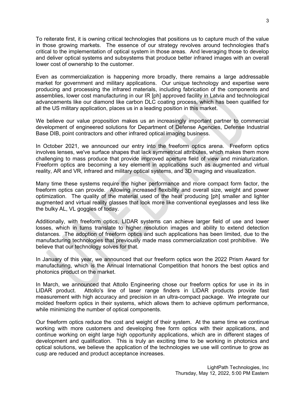To reiterate first, it is owning critical technologies that positions us to capture much of the value in those growing markets. The essence of our strategy revolves around technologies that's critical to the implementation of optical system in those areas. And leveraging those to develop and deliver optical systems and subsystems that produce better infrared images with an overall lower cost of ownership to the customer.

Even as commercialization is happening more broadly, there remains a large addressable market for government and military applications. Our unique technology and expertise were producing and processing the infrared materials, including fabrication of the components and assemblies, lower cost manufacturing in our IR [ph] approved facility in Latvia and technological advancements like our diamond like carbon DLC coating process, which has been qualified for all the US military application, places us in a leading position in this market.

We believe our value proposition makes us an increasingly important partner to commercial development of engineered solutions for Department of Defense Agencies, Defense Industrial Base DIB, point contractors and other infrared optical imaging business.

In October 2021, we announced our entry into the freeform optics arena. Freeform optics involves lenses, we've surface shapes that lack symmetrical attributes, which makes them more challenging to mass produce that provide improved aperture field of view and miniaturization. Freeform optics are becoming a key element in applications such as augmented and virtual reality, AR and VR, infrared and military optical systems, and 3D imaging and visualization.

Many time these systems require the higher performance and more compact form factor, the freeform optics can provide. Allowing increased flexibility and overall size, weight and power optimization. The quality of the material used of the heat producing [ph] smaller and lighter augmented and virtual reality glasses that look more like conventional eyeglasses and less like the bulky AL, VL goggles of today.

Additionally, with freeform optics, LIDAR systems can achieve larger field of use and lower losses, which in turns translate to higher resolution images and ability to extend detection distances. The adoption of freeform optics and such applications has been limited, due to the manufacturing technologies that previously made mass commercialization cost prohibitive. We believe that our technology solves for that.

In January of this year, we announced that our freeform optics won the 2022 Prism Award for manufacturing, which is the Annual International Competition that honors the best optics and photonics product on the market.

In March, we announced that Attollo Engineering chose our freeform optics for use in its in LIDAR product. Attollo's line of laser range finders in LIDAR products provide fast measurement with high accuracy and precision in an ultra-compact package. We integrate our molded freeform optics in their systems, which allows them to achieve optimum performance, while minimizing the number of optical components.

Our freeform optics reduce the cost and weight of their system. At the same time we continue working with more customers and developing free form optics with their applications, and continue working on eight large high opportunity applications, which are in different stages of development and qualification. This is truly an exciting time to be working in photonics and optical solutions, we believe the application of the technologies we use will continue to grow as cusp are reduced and product acceptance increases.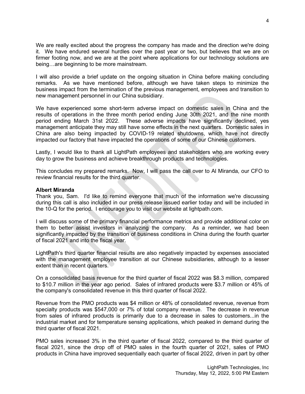We are really excited about the progress the company has made and the direction we're doing it. We have endured several hurdles over the past year or two, but believes that we are on firmer footing now, and we are at the point where applications for our technology solutions are being…are beginning to be more mainstream.

I will also provide a brief update on the ongoing situation in China before making concluding remarks. As we have mentioned before, although we have taken steps to minimize the business impact from the termination of the previous management, employees and transition to new management personnel in our China subsidiary.

We have experienced some short-term adverse impact on domestic sales in China and the results of operations in the three month period ending June 30th 2021, and the nine month period ending March 31st 2022. These adverse impacts have significantly declined, yes management anticipate they may still have some effects in the next quarters. Domestic sales in China are also being impacted by COVID-19 related shutdowns, which have not directly impacted our factory that have impacted the operations of some of our Chinese customers.

Lastly, I would like to thank all LightPath employees and stakeholders who are working every day to grow the business and achieve breakthrough products and technologies.

This concludes my prepared remarks. Now, I will pass the call over to Al Miranda, our CFO to review financial results for the third quarter.

## **Albert Miranda**

Thank you, Sam. I'd like to remind everyone that much of the information we're discussing during this call is also included in our press release issued earlier today and will be included in the 10-Q for the period. I encourage you to visit our website at lightpath.com.

I will discuss some of the primary financial performance metrics and provide additional color on them to better assist investors in analyzing the company. As a reminder, we had been significantly impacted by the transition of business conditions in China during the fourth quarter of fiscal 2021 and into the fiscal year.

LightPath's third quarter financial results are also negatively impacted by expenses associated with the management employee transition at our Chinese subsidiaries, although to a lesser extent than in recent quarters.

On a consolidated basis revenue for the third quarter of fiscal 2022 was \$8.3 million, compared to \$10.7 million in the year ago period. Sales of infrared products were \$3.7 million or 45% of the company's consolidated revenue in this third quarter of fiscal 2022.

Revenue from the PMO products was \$4 million or 48% of consolidated revenue, revenue from specialty products was \$547,000 or 7% of total company revenue. The decrease in revenue from sales of infrared products is primarily due to a decrease in sales to customers...in the industrial market and for temperature sensing applications, which peaked in demand during the third quarter of fiscal 2021.

PMO sales increased 3% in the third quarter of fiscal 2022, compared to the third quarter of fiscal 2021, since the drop off of PMO sales in the fourth quarter of 2021, sales of PMO products in China have improved sequentially each quarter of fiscal 2022, driven in part by other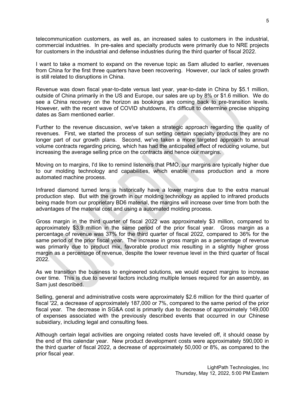telecommunication customers, as well as, an increased sales to customers in the industrial, commercial industries. In pre-sales and specialty products were primarily due to NRE projects for customers in the industrial and defense industries during the third quarter of fiscal 2022.

I want to take a moment to expand on the revenue topic as Sam alluded to earlier, revenues from China for the first three quarters have been recovering. However, our lack of sales growth is still related to disruptions in China.

Revenue was down fiscal year-to-date versus last year, year-to-date in China by \$5.1 million, outside of China primarily in the US and Europe, our sales are up by 8% or \$1.6 million. We do see a China recovery on the horizon as bookings are coming back to pre-transition levels. However, with the recent wave of COVID shutdowns, it's difficult to determine precise shipping dates as Sam mentioned earlier.

Further to the revenue discussion, we've taken a strategic approach regarding the quality of revenues. First, we started the process of sun setting certain specialty products they are no longer part of our growth plans. Second, we've taken a more targeted approach to annual volume contracts regarding pricing, which has had the anticipated effect of reducing volume, but increasing the average selling price on the contracts and hence our margins.

Moving on to margins, I'd like to remind listeners that PMO, our margins are typically higher due to our molding technology and capabilities, which enable mass production and a more automated machine process.

Infrared diamond turned lens is historically have a lower margins due to the extra manual production step. But with the growth in our molding technology as applied to infrared products being made from our proprietary BD6 material, the margins will increase over time from both the advantages of the material cost and using a automated molding process.

Gross margin in the third quarter of fiscal 2022 was approximately \$3 million, compared to approximately \$3.9 million in the same period of the prior fiscal year. Gross margin as a percentage of revenue was 37% for the third quarter of fiscal 2022, compared to 36% for the same period of the prior fiscal year. The increase in gross margin as a percentage of revenue was primarily due to product mix, favorable product mix resulting in a slightly higher gross margin as a percentage of revenue, despite the lower revenue level in the third quarter of fiscal 2022.

As we transition the business to engineered solutions, we would expect margins to increase over time. This is due to several factors including multiple lenses required for an assembly, as Sam just described.

Selling, general and administrative costs were approximately \$2.6 million for the third quarter of fiscal '22, a decrease of approximately 187,000 or 7%, compared to the same period of the prior fiscal year. The decrease in SG&A cost is primarily due to decrease of approximately 149,000 of expenses associated with the previously described events that occurred in our Chinese subsidiary, including legal and consulting fees.

Although certain legal activities are ongoing related costs have leveled off, it should cease by the end of this calendar year. New product development costs were approximately 590,000 in the third quarter of fiscal 2022, a decrease of approximately 50,000 or 8%, as compared to the prior fiscal year.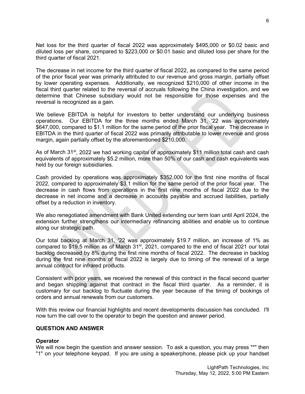Net loss for the third quarter of fiscal 2022 was approximately \$495,000 or \$0.02 basic and diluted loss per share, compared to \$223,000 or \$0.01 basic and diluted loss per share for the third quarter of fiscal 2021.

The decrease in net income for the third quarter of fiscal 2022, as compared to the same period of the prior fiscal year was primarily attributed to our revenue and gross margin, partially offset by lower operating expenses. Additionally, we recognized \$210,000 of other income in the fiscal third quarter related to the reversal of accruals following the China investigation, and we determine that Chinese subsidiary would not be responsible for those expenses and the reversal is recognized as a gain.

We believe EBITDA is helpful for investors to better understand our underlying business operations. Our EBITDA for the three months ended March 31, '22 was approximately \$647,000, compared to \$1.1 million for the same period of the prior fiscal year. The decrease in EBITDA in the third quarter of fiscal 2022 was primarily attributable to lower revenue and gross margin, again partially offset by the aforementioned \$210,000.

As of March 31<sup>st</sup>, 2022 we had working capital of approximately \$11 million total cash and cash equivalents of approximately \$5.2 million, more than 50% of our cash and cash equivalents was held by our foreign subsidiaries.

Cash provided by operations was approximately \$352,000 for the first nine months of fiscal 2022, compared to approximately \$3.1 million for the same period of the prior fiscal year. The decrease in cash flows from operations in the first nine months of fiscal 2022 due to the decrease in net income and a decrease in accounts payable and accrued liabilities, partially offset by a reduction in inventory.

We also renegotiated amendment with Bank United extending our term loan until April 2024, the extension further strengthens our intermediary refinancing abilities and enable us to continue along our strategic path.

Our total backlog at March 31, '22 was approximately \$19.7 million, an increase of 1% as compared to \$19.5 million as of March 31<sup>st</sup>, 2021, compared to the end of fiscal 2021 our total backlog decreased by 8% during the first nine months of fiscal 2022. The decrease in backlog during the first nine months of fiscal 2022 is largely due to timing of the renewal of a large annual contract for infrared products.

Consistent with prior years, we received the renewal of this contract in the fiscal second quarter and began shipping against that contract in the fiscal third quarter. As a reminder, it is customary for our backlog to fluctuate during the year because of the timing of bookings of orders and annual renewals from our customers.

With this review our financial highlights and recent developments discussion has concluded. I'll now turn the call over to the operator to begin the question and answer period.

## **QUESTION AND ANSWER**

# **Operator**

We will now begin the question and answer session. To ask a question, you may press "\*" then "1" on your telephone keypad. If you are using a speakerphone, please pick up your handset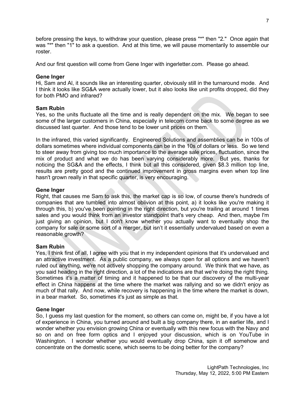before pressing the keys, to withdraw your question, please press "\*" then "2." Once again that was "\*" then "1" to ask a question. And at this time, we will pause momentarily to assemble our roster.

And our first question will come from Gene Inger with ingerletter.com. Please go ahead.

# **Gene Inger**

Hi, Sam and Al, it sounds like an interesting quarter, obviously still in the turnaround mode. And I think it looks like SG&A were actually lower, but it also looks like unit profits dropped, did they for both PMO and infrared?

# **Sam Rubin**

Yes, so the units fluctuate all the time and is really dependent on the mix. We began to see some of the larger customers in China, especially in telecom come back to some degree as we discussed last quarter. And those tend to be lower unit prices on them.

In the infrared, this varied significantly. Engineered Solutions and assemblies can be in 100s of dollars sometimes where individual components can be in the 10s of dollars or less. So we tend to steer away from giving too much importance to the average sale prices, fluctuation, since the mix of product and what we do has been varying considerably more. But yes, thanks for noticing the SG&A and the effects, I think but all this considered, given \$8.3 million top line, results are pretty good and the continued improvement in gross margins even when top line hasn't grown really in that specific quarter, is very encouraging.

## **Gene Inger**

Right, that causes me Sam to ask this, the market cap is so low, of course there's hundreds of companies that are tumbled into almost oblivion at this point, a) it looks like you're making it through this, b) you've been pointing in the right direction, but you're trailing at around 1 times sales and you would think from an investor standpoint that's very cheap. And then, maybe I'm just giving an opinion, but I don't know whether you actually want to eventually shop the company for sale or some sort of a merger, but isn't it essentially undervalued based on even a reasonable growth?

# **Sam Rubin**

Yes, I think first of all, I agree with you that in my independent opinions that it's undervalued and an attractive investment. As a public company, we always open for all options and we haven't ruled out anything, we're not actively shopping the company around. We think that we have, as you said heading in the right direction, a lot of the indications are that we're doing the right thing. Sometimes it's a matter of timing and it happened to be that our discovery of the multi-year effect in China happens at the time where the market was rallying and so we didn't enjoy as much of that rally. And now, while recovery is happening in the time where the market is down, in a bear market. So, sometimes it's just as simple as that.

## **Gene Inger**

So, I guess my last question for the moment, so others can come on, might be, if you have a lot of experience in China, you turned around and built a big company there, in an earlier life, and I wonder whether you envision growing China or eventually with this new focus with the Navy and so on and on free form optics and I enjoyed your discussion, which is on YouTube in Washington. I wonder whether you would eventually drop China, spin it off somehow and concentrate on the domestic scene, which seems to be doing better for the company?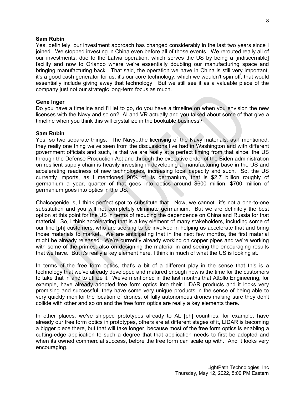## **Sam Rubin**

Yes, definitely, our investment approach has changed considerably in the last two years since I joined. We stopped investing in China even before all of those events. We rerouted really all of our investments, due to the Latvia operation, which serves the US by being a [indiscernible] facility and now to Orlando where we're essentially doubling our manufacturing space and bringing manufacturing back. That said, the operation we have in China is still very important, it's a good cash generator for us, it's our core technology, which we wouldn't spin off, that would essentially include giving away that technology. But we still see it as a valuable piece of the company just not our strategic long-term focus as much.

## **Gene Inger**

Do you have a timeline and I'll let to go, do you have a timeline on when you envision the new licenses with the Navy and so on? AI and VR actually and you talked about some of that give a timeline when you think this will crystallize in the bookable business?

## **Sam Rubin**

Yes, so two separate things. The Navy...the licensing of the Navy materials, as I mentioned, they really one thing we've seen from the discussions I've had in Washington and with different government officials and such, is that we are really at a perfect timing from that since, the US through the Defense Production Act and through the executive order of the Biden administration on resilient supply chain is heavily investing in developing a manufacturing base in the US and accelerating readiness of new technologies, increasing local capacity and such. So, the US currently imports, as I mentioned 90% of its germanium, that is \$2.7 billion roughly of germanium a year, quarter of that goes into optics around \$600 million, \$700 million of germanium goes into optics in the US.

Chalcogenide is, I think perfect spot to substitute that. Now, we cannot...it's not a one-to-one substitution and you will not completely eliminate germanium. But we are definitely the best option at this point for the US in terms of reducing the dependence on China and Russia for that material. So, I think accelerating that is a key element of many stakeholders, including some of our fine [ph] customers, who are seeking to be involved in helping us accelerate that and bring those materials to market. We are anticipating that in the next few months, the first material might be already released. We're currently already working on copper pipes and we're working with some of the primes, also on designing the material in and seeing the encouraging results that we have. But it's really a key element here, I think in much of what the US is looking at.

In terms of the free form optics, that's a bit of a different play in the sense that this is a technology that we've already developed and matured enough now is the time for the customers to take that in and to utilize it. We've mentioned in the last months that Attollo Engineering, for example, have already adopted free form optics into their LIDAR products and it looks very promising and successful, they have some very unique products in the sense of being able to very quickly monitor the location of drones, of fully autonomous drones making sure they don't collide with other and so on and the free form optics are really a key elements there.

In other places, we've shipped prototypes already to AL [ph] countries, for example, have already our free form optics in prototypes, others are at different stages of it, LIDAR is becoming a bigger piece there, but that will take longer, because most of the free form optics is enabling a cutting-edge application to such a degree that that application needs to first be adopted and when its owned commercial success, before the free form can scale up with. And it looks very encouraging.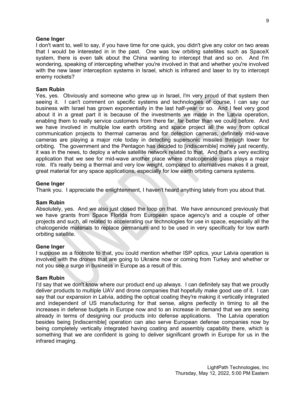## **Gene Inger**

I don't want to, well to say, if you have time for one quick, you didn't give any color on two areas that I would be interested in in the past. One was low orbiting satellites such as SpaceX system, there is even talk about the China wanting to intercept that and so on. And I'm wondering, speaking of intercepting whether you're involved in that and whether you're involved with the new laser interception systems in Israel, which is infrared and laser to try to intercept enemy rockets?

## **Sam Rubin**

Yes, yes. Obviously and someone who grew up in Israel, I'm very proud of that system then seeing it. I can't comment on specific systems and technologies of course, I can say our business with Israel has grown exponentially in the last half-year or so. And I feel very good about it in a great part it is because of the investments we made in the Latvia operation, enabling them to really service customers from there far, far better than we could before. And we have involved in multiple low earth orbiting and space project all the way from optical communication projects to thermal cameras and for detection cameras, definitely mid-wave cameras are playing a major role today in detecting supersonic missiles through lower for orbiting. The government and the Pentagon has decided to [indiscernible] money just recently, it was in the news, to deploy a whole satellite network related to that. And that's a very exciting application that we see for mid-wave another place where chalcogenide glass plays a major role. It's really being a thermal and very low weight, compared to alternatives makes it a great, great material for any space applications, especially for low earth orbiting camera systems.

## **Gene Inger**

Thank you. I appreciate the enlightenment, I haven't heard anything lately from you about that.

#### **Sam Rubin**

Absolutely, yes. And we also just closed the loop on that. We have announced previously that we have grants from Space Florida from European space agency's and a couple of other projects and such, all related to accelerating our technologies for use in space, especially all the chalcogenide materials to replace germanium and to be used in very specifically for low earth orbiting satellite.

## **Gene Inger**

I suppose as a footnote to that, you could mention whether ISP optics, your Latvia operation is involved with the drones that are going to Ukraine now or coming from Turkey and whether or not you see a surge in business in Europe as a result of this.

#### **Sam Rubin**

I'd say that we don't know where our product end up always. I can definitely say that we proudly deliver products to multiple UAV and drone companies that hopefully make good use of it. I can say that our expansion in Latvia, adding the optical coating they're making it vertically integrated and independent of US manufacturing for that sense, aligns perfectly in timing to all the increases in defense budgets in Europe now and to an increase in demand that we are seeing already in terms of designing our products into defense applications. The Latvia operation besides being [indiscernible] operation can also serve European defense companies now by being completely vertically integrated having coating and assembly capability there, which is something that we are confident is going to deliver significant growth in Europe for us in the infrared imaging.